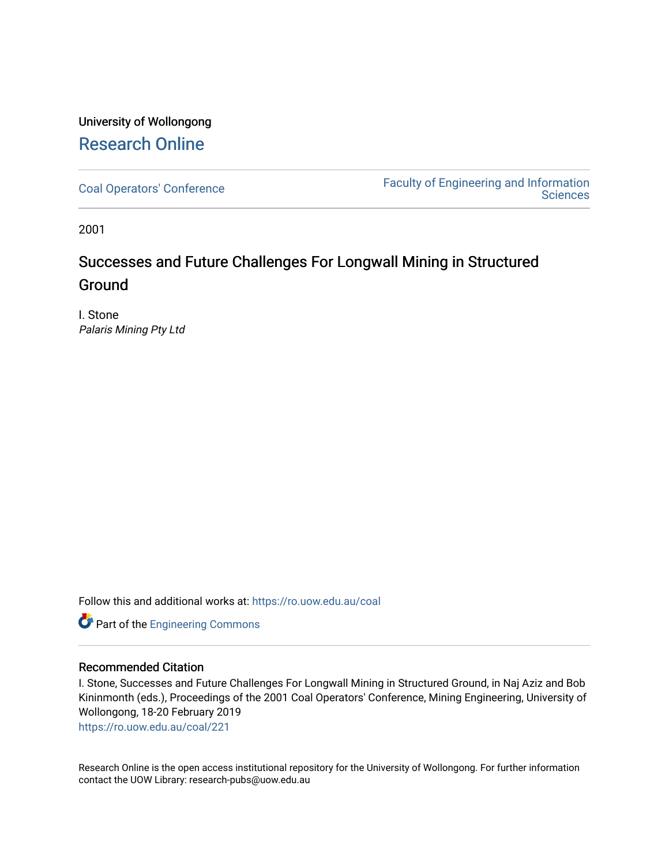# University of Wollongong [Research Online](https://ro.uow.edu.au/)

[Coal Operators' Conference](https://ro.uow.edu.au/coal) [Faculty of Engineering and Information](https://ro.uow.edu.au/eis)  **Sciences** 

2001

# Successes and Future Challenges For Longwall Mining in Structured Ground

I. Stone Palaris Mining Pty Ltd

Follow this and additional works at: [https://ro.uow.edu.au/coal](https://ro.uow.edu.au/coal?utm_source=ro.uow.edu.au%2Fcoal%2F221&utm_medium=PDF&utm_campaign=PDFCoverPages) 

Part of the [Engineering Commons](http://network.bepress.com/hgg/discipline/217?utm_source=ro.uow.edu.au%2Fcoal%2F221&utm_medium=PDF&utm_campaign=PDFCoverPages)

# Recommended Citation

I. Stone, Successes and Future Challenges For Longwall Mining in Structured Ground, in Naj Aziz and Bob Kininmonth (eds.), Proceedings of the 2001 Coal Operators' Conference, Mining Engineering, University of Wollongong, 18-20 February 2019

[https://ro.uow.edu.au/coal/221](https://ro.uow.edu.au/coal/221?utm_source=ro.uow.edu.au%2Fcoal%2F221&utm_medium=PDF&utm_campaign=PDFCoverPages) 

Research Online is the open access institutional repository for the University of Wollongong. For further information contact the UOW Library: research-pubs@uow.edu.au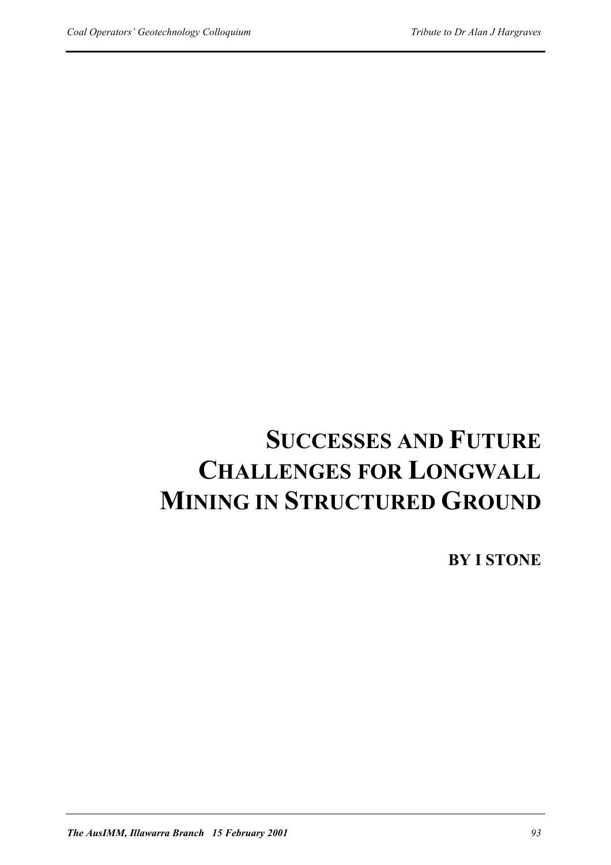# **SUCCESSES AND FUTURE CHALLENGES FOR LONGWALL MINING IN STRUCTURED GROUND**

**BY I STONE**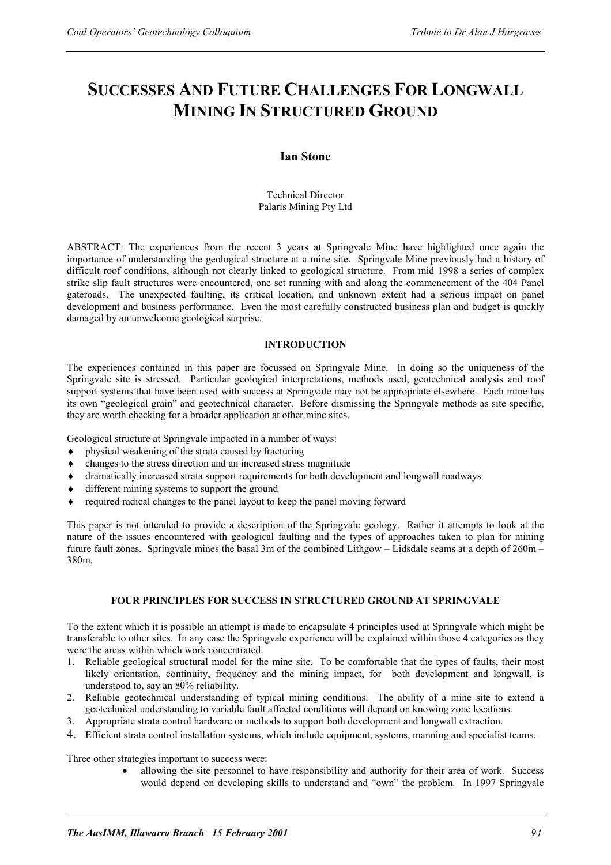# **SUCCESSES AND FUTURE CHALLENGES FOR LONGWALL MINING IN STRUCTURED GROUND**

# **Ian Stone**

Technical Director Palaris Mining Pty Ltd

ABSTRACT: The experiences from the recent 3 years at Springvale Mine have highlighted once again the importance of understanding the geological structure at a mine site. Springvale Mine previously had a history of difficult roof conditions, although not clearly linked to geological structure. From mid 1998 a series of complex strike slip fault structures were encountered, one set running with and along the commencement of the 404 Panel gateroads. The unexpected faulting, its critical location, and unknown extent had a serious impact on panel development and business performance. Even the most carefully constructed business plan and budget is quickly damaged by an unwelcome geological surprise.

# **INTRODUCTION**

The experiences contained in this paper are focussed on Springvale Mine. In doing so the uniqueness of the Springvale site is stressed. Particular geological interpretations, methods used, geotechnical analysis and roof support systems that have been used with success at Springvale may not be appropriate elsewhere. Each mine has its own "geological grain" and geotechnical character. Before dismissing the Springvale methods as site specific, they are worth checking for a broader application at other mine sites.

Geological structure at Springvale impacted in a number of ways:

- physical weakening of the strata caused by fracturing
- changes to the stress direction and an increased stress magnitude
- ♦ dramatically increased strata support requirements for both development and longwall roadways
- ♦ different mining systems to support the ground
- ♦ required radical changes to the panel layout to keep the panel moving forward

This paper is not intended to provide a description of the Springvale geology. Rather it attempts to look at the nature of the issues encountered with geological faulting and the types of approaches taken to plan for mining future fault zones. Springvale mines the basal 3m of the combined Lithgow – Lidsdale seams at a depth of 260m – 380m.

# **FOUR PRINCIPLES FOR SUCCESS IN STRUCTURED GROUND AT SPRINGVALE**

To the extent which it is possible an attempt is made to encapsulate 4 principles used at Springvale which might be transferable to other sites. In any case the Springvale experience will be explained within those 4 categories as they were the areas within which work concentrated.

- 1. Reliable geological structural model for the mine site. To be comfortable that the types of faults, their most likely orientation, continuity, frequency and the mining impact, for both development and longwall, is understood to, say an 80% reliability.
- 2. Reliable geotechnical understanding of typical mining conditions. The ability of a mine site to extend a geotechnical understanding to variable fault affected conditions will depend on knowing zone locations.
- 3. Appropriate strata control hardware or methods to support both development and longwall extraction.
- 4. Efficient strata control installation systems, which include equipment, systems, manning and specialist teams.

Three other strategies important to success were:

• allowing the site personnel to have responsibility and authority for their area of work. Success would depend on developing skills to understand and "own" the problem. In 1997 Springvale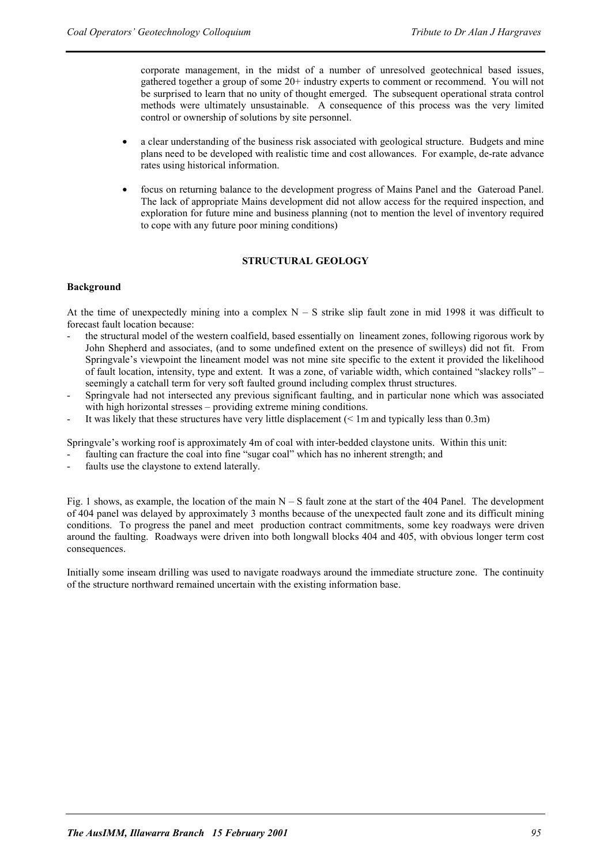corporate management, in the midst of a number of unresolved geotechnical based issues, gathered together a group of some 20+ industry experts to comment or recommend. You will not be surprised to learn that no unity of thought emerged. The subsequent operational strata control methods were ultimately unsustainable. A consequence of this process was the very limited control or ownership of solutions by site personnel.

- a clear understanding of the business risk associated with geological structure. Budgets and mine plans need to be developed with realistic time and cost allowances. For example, de-rate advance rates using historical information.
- focus on returning balance to the development progress of Mains Panel and the Gateroad Panel. The lack of appropriate Mains development did not allow access for the required inspection, and exploration for future mine and business planning (not to mention the level of inventory required to cope with any future poor mining conditions)

#### **STRUCTURAL GEOLOGY**

#### **Background**

At the time of unexpectedly mining into a complex  $N - S$  strike slip fault zone in mid 1998 it was difficult to forecast fault location because:

- the structural model of the western coalfield, based essentially on lineament zones, following rigorous work by John Shepherd and associates, (and to some undefined extent on the presence of swilleys) did not fit. From Springvale's viewpoint the lineament model was not mine site specific to the extent it provided the likelihood of fault location, intensity, type and extent. It was a zone, of variable width, which contained "slackey rolls" – seemingly a catchall term for very soft faulted ground including complex thrust structures.
- Springvale had not intersected any previous significant faulting, and in particular none which was associated with high horizontal stresses – providing extreme mining conditions.
- It was likely that these structures have very little displacement  $(< 1$ m and typically less than 0.3m)

Springvale's working roof is approximately 4m of coal with inter-bedded claystone units. Within this unit:

- faulting can fracture the coal into fine "sugar coal" which has no inherent strength; and
- faults use the claystone to extend laterally.

Fig. 1 shows, as example, the location of the main  $N - S$  fault zone at the start of the 404 Panel. The development of 404 panel was delayed by approximately 3 months because of the unexpected fault zone and its difficult mining conditions. To progress the panel and meet production contract commitments, some key roadways were driven around the faulting. Roadways were driven into both longwall blocks 404 and 405, with obvious longer term cost consequences.

Initially some inseam drilling was used to navigate roadways around the immediate structure zone. The continuity of the structure northward remained uncertain with the existing information base.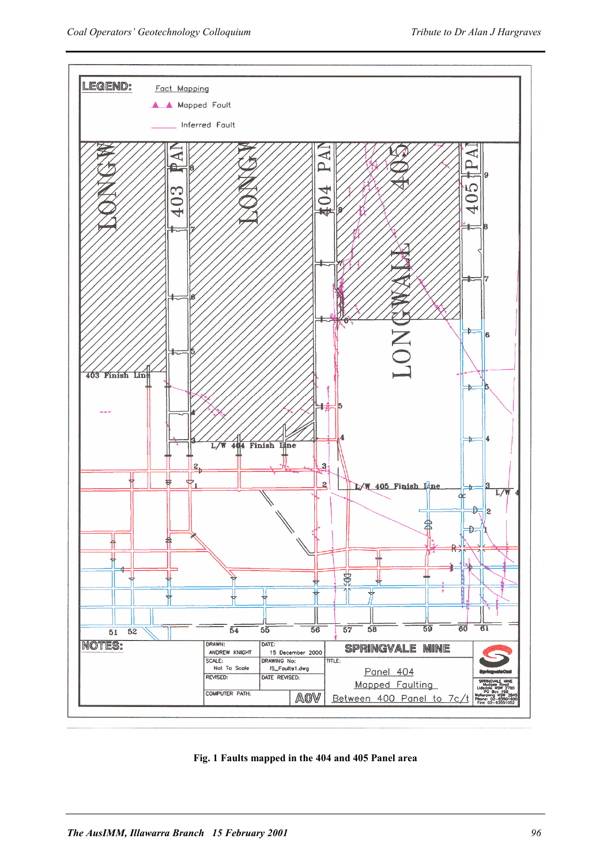

**Fig. 1 Faults mapped in the 404 and 405 Panel area**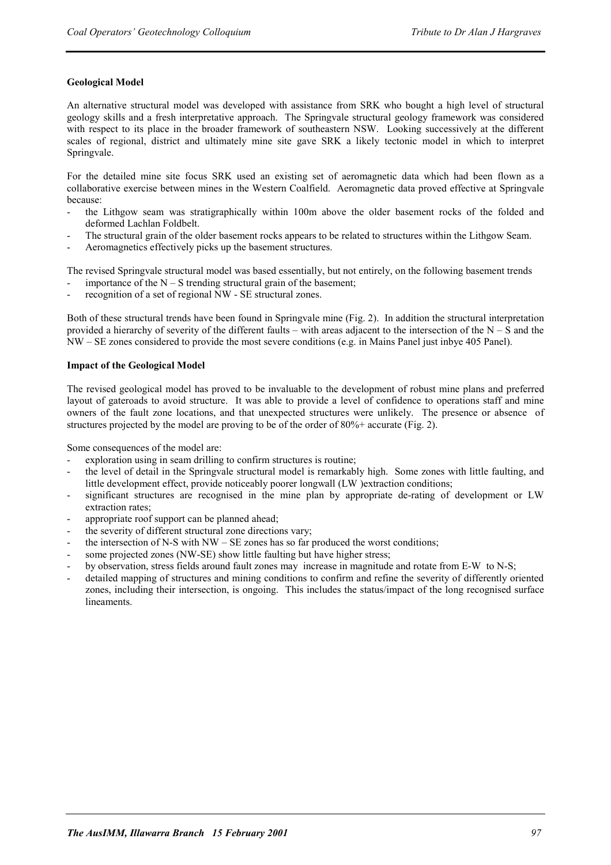# **Geological Model**

An alternative structural model was developed with assistance from SRK who bought a high level of structural geology skills and a fresh interpretative approach. The Springvale structural geology framework was considered with respect to its place in the broader framework of southeastern NSW. Looking successively at the different scales of regional, district and ultimately mine site gave SRK a likely tectonic model in which to interpret Springvale.

For the detailed mine site focus SRK used an existing set of aeromagnetic data which had been flown as a collaborative exercise between mines in the Western Coalfield. Aeromagnetic data proved effective at Springvale because:

- the Lithgow seam was stratigraphically within 100m above the older basement rocks of the folded and deformed Lachlan Foldbelt.
- The structural grain of the older basement rocks appears to be related to structures within the Lithgow Seam.
- Aeromagnetics effectively picks up the basement structures.

The revised Springvale structural model was based essentially, but not entirely, on the following basement trends importance of the  $N - S$  trending structural grain of the basement;

recognition of a set of regional NW - SE structural zones.

Both of these structural trends have been found in Springvale mine (Fig. 2). In addition the structural interpretation provided a hierarchy of severity of the different faults – with areas adjacent to the intersection of the  $N-S$  and the NW – SE zones considered to provide the most severe conditions (e.g. in Mains Panel just inbye 405 Panel).

# **Impact of the Geological Model**

The revised geological model has proved to be invaluable to the development of robust mine plans and preferred layout of gateroads to avoid structure. It was able to provide a level of confidence to operations staff and mine owners of the fault zone locations, and that unexpected structures were unlikely. The presence or absence of structures projected by the model are proving to be of the order of 80%+ accurate (Fig. 2).

Some consequences of the model are:

- exploration using in seam drilling to confirm structures is routine;
- the level of detail in the Springvale structural model is remarkably high. Some zones with little faulting, and little development effect, provide noticeably poorer longwall (LW )extraction conditions;
- significant structures are recognised in the mine plan by appropriate de-rating of development or LW extraction rates;
- appropriate roof support can be planned ahead;
- the severity of different structural zone directions vary;
- the intersection of N-S with  $NW SE$  zones has so far produced the worst conditions;
- some projected zones (NW-SE) show little faulting but have higher stress;
- by observation, stress fields around fault zones may increase in magnitude and rotate from E-W to N-S;
- detailed mapping of structures and mining conditions to confirm and refine the severity of differently oriented zones, including their intersection, is ongoing. This includes the status/impact of the long recognised surface lineaments.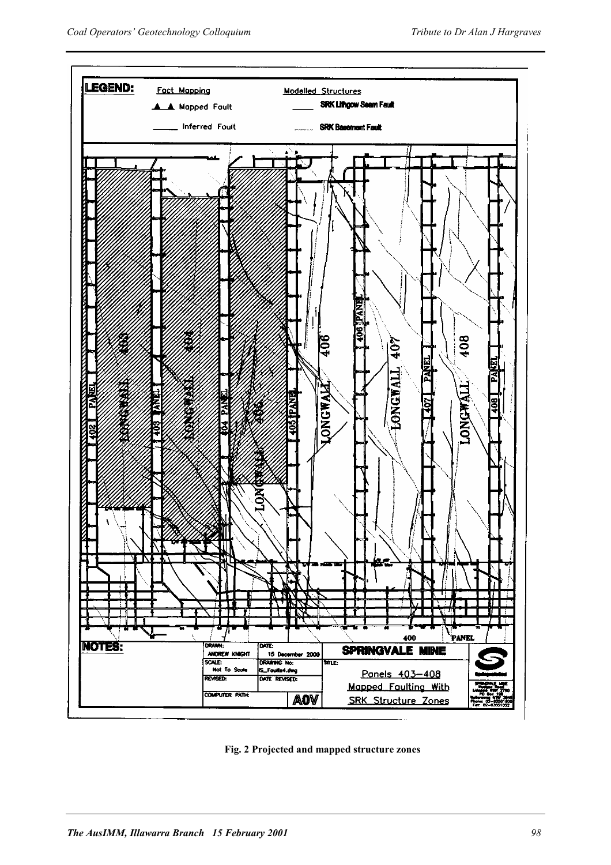

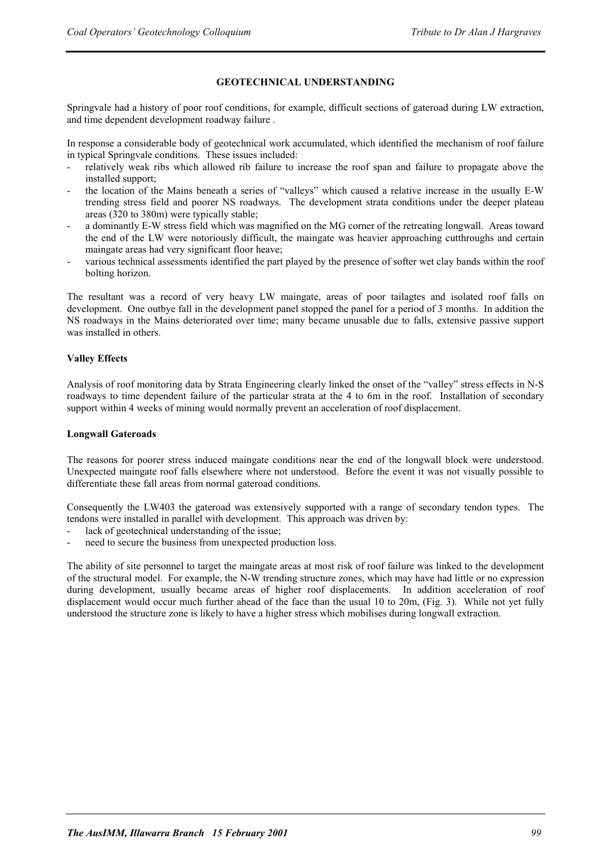#### **GEOTECHNICAL UNDERSTANDING**

Springvale had a history of poor roof conditions, for example, difficult sections of gateroad during LW extraction, and time dependent development roadway failure .

In response a considerable body of geotechnical work accumulated, which identified the mechanism of roof failure in typical Springvale conditions. These issues included:

- relatively weak ribs which allowed rib failure to increase the roof span and failure to propagate above the installed support;
- the location of the Mains beneath a series of "valleys" which caused a relative increase in the usually E-W trending stress field and poorer NS roadways. The development strata conditions under the deeper plateau areas (320 to 380m) were typically stable;
- a dominantly E-W stress field which was magnified on the MG corner of the retreating longwall. Areas toward the end of the LW were notoriously difficult, the maingate was heavier approaching cutthroughs and certain maingate areas had very significant floor heave;
- various technical assessments identified the part played by the presence of softer wet clay bands within the roof bolting horizon.

The resultant was a record of very heavy LW maingate, areas of poor tailagtes and isolated roof falls on development. One outbye fall in the development panel stopped the panel for a period of 3 months. In addition the NS roadways in the Mains deteriorated over time; many became unusable due to falls, extensive passive support was installed in others.

#### **Valley Effects**

Analysis of roof monitoring data by Strata Engineering clearly linked the onset of the "valley" stress effects in N-S roadways to time dependent failure of the particular strata at the 4 to 6m in the roof. Installation of secondary support within 4 weeks of mining would normally prevent an acceleration of roof displacement.

#### **Longwall Gateroads**

The reasons for poorer stress induced maingate conditions near the end of the longwall block were understood. Unexpected maingate roof falls elsewhere where not understood. Before the event it was not visually possible to differentiate these fall areas from normal gateroad conditions.

Consequently the LW403 the gateroad was extensively supported with a range of secondary tendon types. The tendons were installed in parallel with development. This approach was driven by:

- lack of geotechnical understanding of the issue;
- need to secure the business from unexpected production loss.

The ability of site personnel to target the maingate areas at most risk of roof failure was linked to the development of the structural model. For example, the N-W trending structure zones, which may have had little or no expression during development, usually became areas of higher roof displacements. In addition acceleration of roof displacement would occur much further ahead of the face than the usual 10 to 20m, (Fig. 3). While not yet fully understood the structure zone is likely to have a higher stress which mobilises during longwall extraction.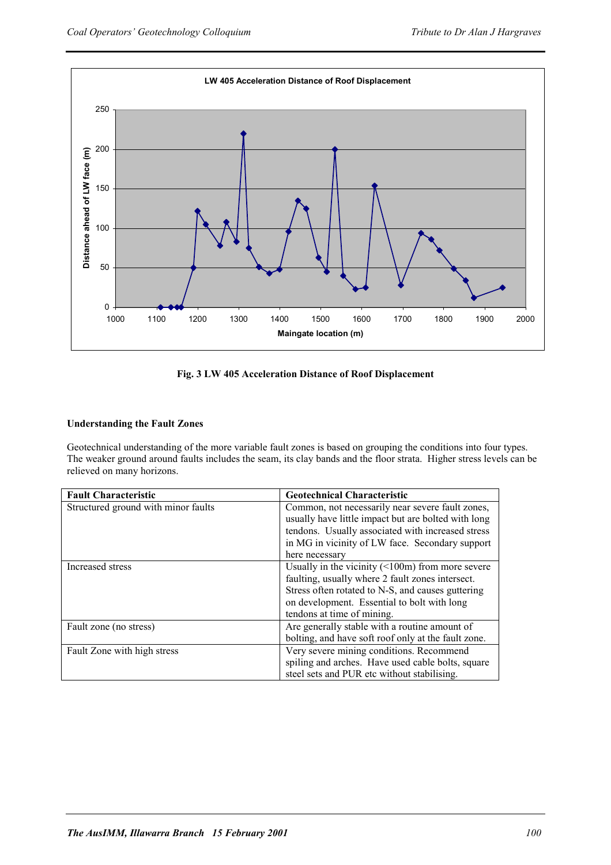

# **Fig. 3 LW 405 Acceleration Distance of Roof Displacement**

# **Understanding the Fault Zones**

Geotechnical understanding of the more variable fault zones is based on grouping the conditions into four types. The weaker ground around faults includes the seam, its clay bands and the floor strata. Higher stress levels can be relieved on many horizons.

| <b>Fault Characteristic</b>         | <b>Geotechnical Characteristic</b>                     |
|-------------------------------------|--------------------------------------------------------|
| Structured ground with minor faults | Common, not necessarily near severe fault zones,       |
|                                     | usually have little impact but are bolted with long    |
|                                     | tendons. Usually associated with increased stress      |
|                                     | in MG in vicinity of LW face. Secondary support        |
|                                     | here necessary                                         |
| Increased stress                    | Usually in the vicinity $(\leq 100m)$ from more severe |
|                                     | faulting, usually where 2 fault zones intersect.       |
|                                     | Stress often rotated to N-S, and causes guttering      |
|                                     | on development. Essential to bolt with long            |
|                                     | tendons at time of mining.                             |
| Fault zone (no stress)              | Are generally stable with a routine amount of          |
|                                     | bolting, and have soft roof only at the fault zone.    |
| Fault Zone with high stress         | Very severe mining conditions. Recommend               |
|                                     | spiling and arches. Have used cable bolts, square      |
|                                     | steel sets and PUR etc without stabilising.            |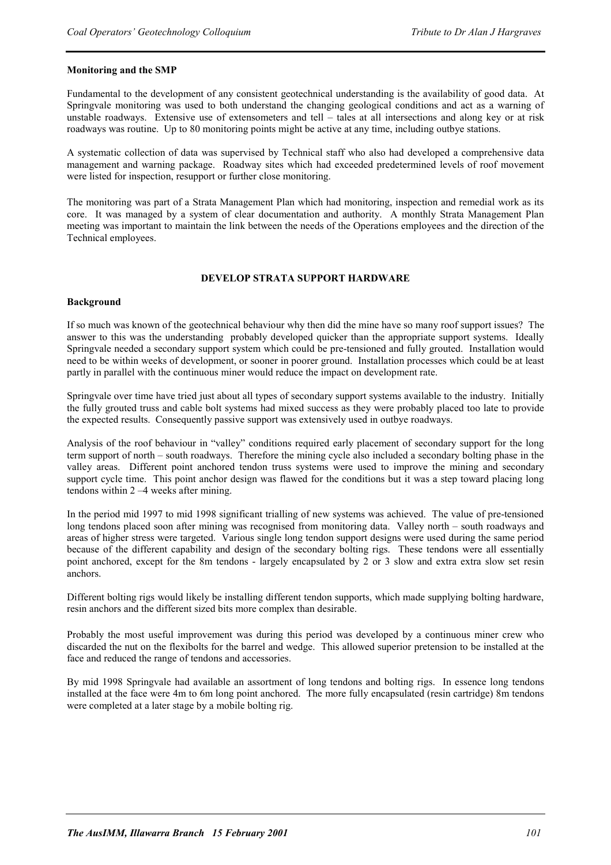#### **Monitoring and the SMP**

Fundamental to the development of any consistent geotechnical understanding is the availability of good data. At Springvale monitoring was used to both understand the changing geological conditions and act as a warning of unstable roadways. Extensive use of extensometers and tell – tales at all intersections and along key or at risk roadways was routine. Up to 80 monitoring points might be active at any time, including outbye stations.

A systematic collection of data was supervised by Technical staff who also had developed a comprehensive data management and warning package. Roadway sites which had exceeded predetermined levels of roof movement were listed for inspection, resupport or further close monitoring.

The monitoring was part of a Strata Management Plan which had monitoring, inspection and remedial work as its core. It was managed by a system of clear documentation and authority. A monthly Strata Management Plan meeting was important to maintain the link between the needs of the Operations employees and the direction of the Technical employees.

#### **DEVELOP STRATA SUPPORT HARDWARE**

#### **Background**

If so much was known of the geotechnical behaviour why then did the mine have so many roof support issues? The answer to this was the understanding probably developed quicker than the appropriate support systems. Ideally Springvale needed a secondary support system which could be pre-tensioned and fully grouted. Installation would need to be within weeks of development, or sooner in poorer ground. Installation processes which could be at least partly in parallel with the continuous miner would reduce the impact on development rate.

Springvale over time have tried just about all types of secondary support systems available to the industry. Initially the fully grouted truss and cable bolt systems had mixed success as they were probably placed too late to provide the expected results. Consequently passive support was extensively used in outbye roadways.

Analysis of the roof behaviour in "valley" conditions required early placement of secondary support for the long term support of north – south roadways. Therefore the mining cycle also included a secondary bolting phase in the valley areas. Different point anchored tendon truss systems were used to improve the mining and secondary support cycle time. This point anchor design was flawed for the conditions but it was a step toward placing long tendons within 2 –4 weeks after mining.

In the period mid 1997 to mid 1998 significant trialling of new systems was achieved. The value of pre-tensioned long tendons placed soon after mining was recognised from monitoring data. Valley north – south roadways and areas of higher stress were targeted. Various single long tendon support designs were used during the same period because of the different capability and design of the secondary bolting rigs. These tendons were all essentially point anchored, except for the 8m tendons - largely encapsulated by 2 or 3 slow and extra extra slow set resin anchors.

Different bolting rigs would likely be installing different tendon supports, which made supplying bolting hardware, resin anchors and the different sized bits more complex than desirable.

Probably the most useful improvement was during this period was developed by a continuous miner crew who discarded the nut on the flexibolts for the barrel and wedge. This allowed superior pretension to be installed at the face and reduced the range of tendons and accessories.

By mid 1998 Springvale had available an assortment of long tendons and bolting rigs. In essence long tendons installed at the face were 4m to 6m long point anchored. The more fully encapsulated (resin cartridge) 8m tendons were completed at a later stage by a mobile bolting rig.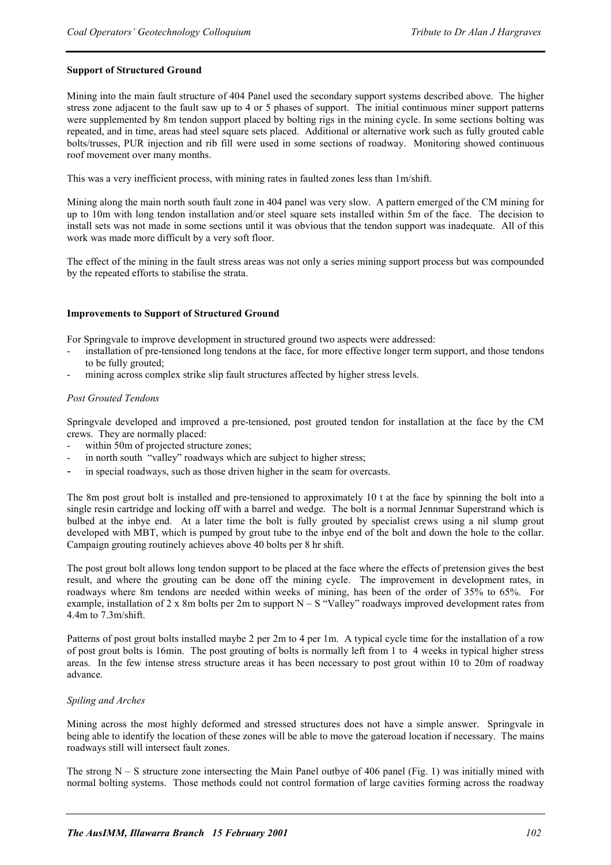# **Support of Structured Ground**

Mining into the main fault structure of 404 Panel used the secondary support systems described above. The higher stress zone adjacent to the fault saw up to 4 or 5 phases of support. The initial continuous miner support patterns were supplemented by 8m tendon support placed by bolting rigs in the mining cycle. In some sections bolting was repeated, and in time, areas had steel square sets placed. Additional or alternative work such as fully grouted cable bolts/trusses, PUR injection and rib fill were used in some sections of roadway. Monitoring showed continuous roof movement over many months.

This was a very inefficient process, with mining rates in faulted zones less than 1m/shift.

Mining along the main north south fault zone in 404 panel was very slow. A pattern emerged of the CM mining for up to 10m with long tendon installation and/or steel square sets installed within 5m of the face. The decision to install sets was not made in some sections until it was obvious that the tendon support was inadequate. All of this work was made more difficult by a very soft floor.

The effect of the mining in the fault stress areas was not only a series mining support process but was compounded by the repeated efforts to stabilise the strata.

#### **Improvements to Support of Structured Ground**

For Springvale to improve development in structured ground two aspects were addressed:

- installation of pre-tensioned long tendons at the face, for more effective longer term support, and those tendons to be fully grouted;
- mining across complex strike slip fault structures affected by higher stress levels.

#### *Post Grouted Tendons*

Springvale developed and improved a pre-tensioned, post grouted tendon for installation at the face by the CM crews. They are normally placed:

- within 50m of projected structure zones;
- in north south "valley" roadways which are subject to higher stress;
- in special roadways, such as those driven higher in the seam for overcasts.

The 8m post grout bolt is installed and pre-tensioned to approximately 10 t at the face by spinning the bolt into a single resin cartridge and locking off with a barrel and wedge. The bolt is a normal Jennmar Superstrand which is bulbed at the inbye end. At a later time the bolt is fully grouted by specialist crews using a nil slump grout developed with MBT, which is pumped by grout tube to the inbye end of the bolt and down the hole to the collar. Campaign grouting routinely achieves above 40 bolts per 8 hr shift.

The post grout bolt allows long tendon support to be placed at the face where the effects of pretension gives the best result, and where the grouting can be done off the mining cycle. The improvement in development rates, in roadways where 8m tendons are needed within weeks of mining, has been of the order of 35% to 65%. For example, installation of 2 x 8m bolts per 2m to support  $N - S$  "Valley" roadways improved development rates from  $4.4m$  to  $7.3m/s$ hift

Patterns of post grout bolts installed maybe 2 per 2m to 4 per 1m. A typical cycle time for the installation of a row of post grout bolts is 16min. The post grouting of bolts is normally left from 1 to 4 weeks in typical higher stress areas. In the few intense stress structure areas it has been necessary to post grout within 10 to 20m of roadway advance.

#### *Spiling and Arches*

Mining across the most highly deformed and stressed structures does not have a simple answer. Springvale in being able to identify the location of these zones will be able to move the gateroad location if necessary. The mains roadways still will intersect fault zones.

The strong  $N - S$  structure zone intersecting the Main Panel outbye of 406 panel (Fig. 1) was initially mined with normal bolting systems. Those methods could not control formation of large cavities forming across the roadway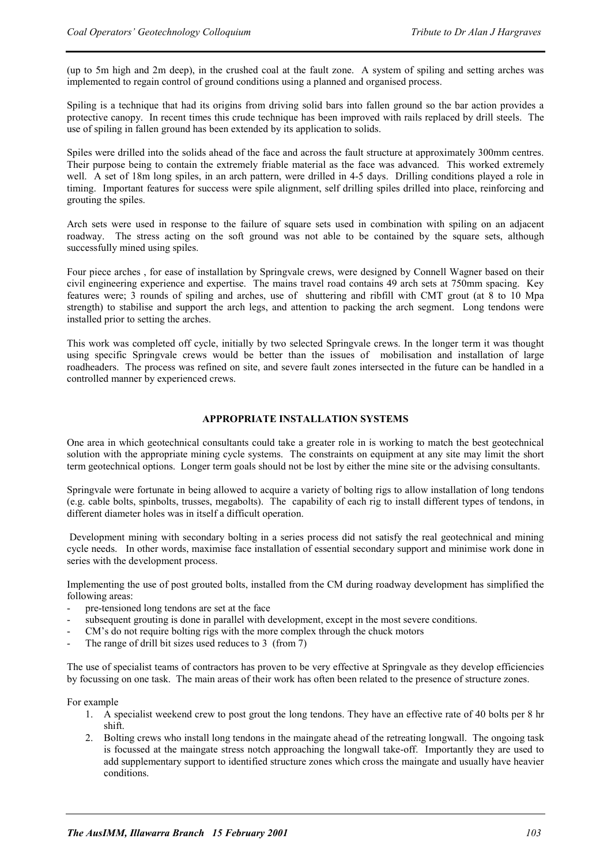(up to 5m high and 2m deep), in the crushed coal at the fault zone. A system of spiling and setting arches was implemented to regain control of ground conditions using a planned and organised process.

Spiling is a technique that had its origins from driving solid bars into fallen ground so the bar action provides a protective canopy. In recent times this crude technique has been improved with rails replaced by drill steels. The use of spiling in fallen ground has been extended by its application to solids.

Spiles were drilled into the solids ahead of the face and across the fault structure at approximately 300mm centres. Their purpose being to contain the extremely friable material as the face was advanced. This worked extremely well. A set of 18m long spiles, in an arch pattern, were drilled in 4-5 days. Drilling conditions played a role in timing. Important features for success were spile alignment, self drilling spiles drilled into place, reinforcing and grouting the spiles.

Arch sets were used in response to the failure of square sets used in combination with spiling on an adjacent roadway. The stress acting on the soft ground was not able to be contained by the square sets, although successfully mined using spiles.

Four piece arches , for ease of installation by Springvale crews, were designed by Connell Wagner based on their civil engineering experience and expertise. The mains travel road contains 49 arch sets at 750mm spacing. Key features were; 3 rounds of spiling and arches, use of shuttering and ribfill with CMT grout (at 8 to 10 Mpa strength) to stabilise and support the arch legs, and attention to packing the arch segment. Long tendons were installed prior to setting the arches.

This work was completed off cycle, initially by two selected Springvale crews. In the longer term it was thought using specific Springvale crews would be better than the issues of mobilisation and installation of large roadheaders. The process was refined on site, and severe fault zones intersected in the future can be handled in a controlled manner by experienced crews.

#### **APPROPRIATE INSTALLATION SYSTEMS**

One area in which geotechnical consultants could take a greater role in is working to match the best geotechnical solution with the appropriate mining cycle systems. The constraints on equipment at any site may limit the short term geotechnical options. Longer term goals should not be lost by either the mine site or the advising consultants.

Springvale were fortunate in being allowed to acquire a variety of bolting rigs to allow installation of long tendons (e.g. cable bolts, spinbolts, trusses, megabolts). The capability of each rig to install different types of tendons, in different diameter holes was in itself a difficult operation.

 Development mining with secondary bolting in a series process did not satisfy the real geotechnical and mining cycle needs. In other words, maximise face installation of essential secondary support and minimise work done in series with the development process.

Implementing the use of post grouted bolts, installed from the CM during roadway development has simplified the following areas:

- pre-tensioned long tendons are set at the face
- subsequent grouting is done in parallel with development, except in the most severe conditions.
- CM's do not require bolting rigs with the more complex through the chuck motors
- The range of drill bit sizes used reduces to 3 (from 7)

The use of specialist teams of contractors has proven to be very effective at Springvale as they develop efficiencies by focussing on one task. The main areas of their work has often been related to the presence of structure zones.

For example

- 1. A specialist weekend crew to post grout the long tendons. They have an effective rate of 40 bolts per 8 hr shift.
- 2. Bolting crews who install long tendons in the maingate ahead of the retreating longwall. The ongoing task is focussed at the maingate stress notch approaching the longwall take-off. Importantly they are used to add supplementary support to identified structure zones which cross the maingate and usually have heavier conditions.